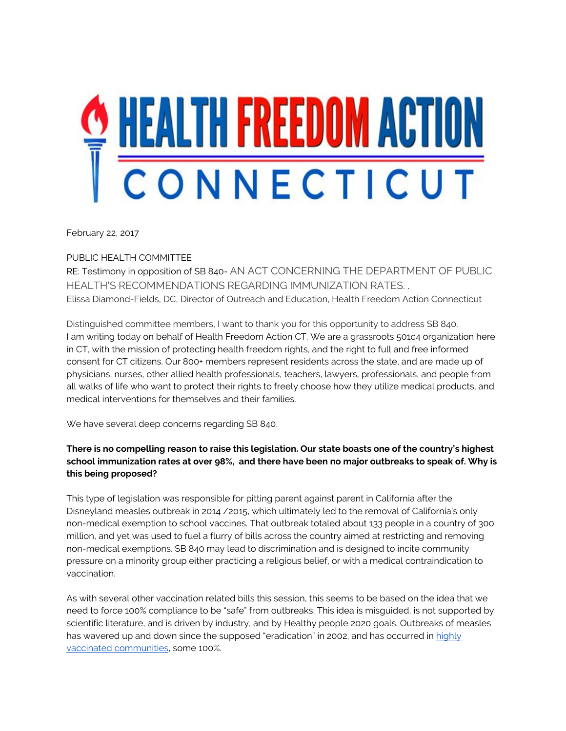## **SHEALTH FREEDOM ACTION**

February 22, 2017

PUBLIC HEALTH COMMITTEE RE: Testimony in opposition of SB 840- AN ACT [CONCERNING THE DEPARTMENT](https://www.cga.ct.gov/asp/cgabillstatus/cgabillstatus.asp?selBillType=Bill&which_year=2017&bill_num=SB840) OF PUBLIC HEALTH'S RECOMMENDATIONS [REGARDING IMMUNIZATION RATES.](https://www.cga.ct.gov/asp/cgabillstatus/cgabillstatus.asp?selBillType=Bill&which_year=2017&bill_num=SB840) . Elissa Diamond-Fields, DC, Director of Outreach and Education, Health Freedom Action Connecticut

Distinguished committee members, I want to thank you for this opportunity to address SB 840. I am writing today on behalf of Health Freedom Action CT. We are a grassroots 501c4 organization here in CT, with the mission of protecting health freedom rights, and the right to full and free informed consent for CT citizens. Our 800+ members represent residents across the state, and are made up of physicians, nurses, other allied health professionals, teachers, lawyers, professionals, and people from all walks of life who want to protect their rights to freely choose how they utilize medical products, and medical interventions for themselves and their families.

We have several deep concerns regarding SB 840.

## **There is no compelling reason to raise this legislation. Our state boasts one of the country's highest school immunization rates at over 98%, and there have been no major outbreaks to speak of. Why is this being proposed?**

This type of legislation was responsible for pitting parent against parent in California after the Disneyland measles outbreak in 2014 /2015, which ultimately led to the removal of California's only non-medical exemption to school vaccines. That outbreak totaled about 133 people in a country of 300 million, and yet was used to fuel a flurry of bills across the country aimed at restricting and removing non-medical exemptions. SB 840 may lead to discrimination and is designed to incite community pressure on a minority group either practicing a religious belief, or with a medical contraindication to vaccination.

As with several other vaccination related bills this session, this seems to be based on the idea that we need to force 100% compliance to be "safe" from outbreaks. This idea is misguided, is not supported by scientific literature, and is driven by industry, and by Healthy people 2020 goals. Outbreaks of measles has wavered up and down since the supposed "eradication" in 2002, and has occurred in [highly](http://www.nvic.org/vaccines-and-diseases/measles/measles-vaccine-effectiveness.aspx) [vaccinated communities,](http://www.nvic.org/vaccines-and-diseases/measles/measles-vaccine-effectiveness.aspx) some 100%.